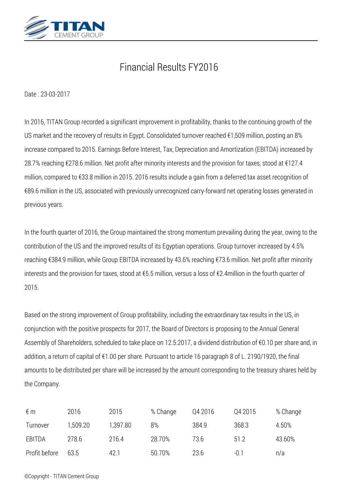

# *Financial Results FY2016*

*Date : 23-03-2017*

*In 2016, TITAN Group recorded a significant improvement in profitability, thanks to the continuing growth of the US market and the recovery of results in Egypt. Consolidated turnover reached €1,509 million, posting an 8% increase compared to 2015. Earnings Before Interest, Tax, Depreciation and Amortization (EBITDA) increased by 28.7% reaching €278.6 million. Net profit after minority interests and the provision for taxes, stood at €127.4 million, compared to €33.8 million in 2015. 2016 results include a gain from a deferred tax asset recognition of €89.6 million in the US, associated with previously unrecognized carry-forward net operating losses generated in previous years.*

*In the fourth quarter of 2016, the Group maintained the strong momentum prevailing during the year, owing to the contribution of the US and the improved results of its Egyptian operations. Group turnover increased by 4.5% reaching €384.9 million, while Group EBITDA increased by 43.6% reaching €73.6 million. Net profit after minority interests and the provision for taxes, stood at €5.5 million, versus a loss of €2.4million in the fourth quarter of 2015.*

*Based on the strong improvement of Group profitability, including the extraordinary tax results in the US, in conjunction with the positive prospects for 2017, the Board of Directors is proposing to the Annual General Assembly of Shareholders, scheduled to take place on 12.5.2017, a dividend distribution of €0.10 per share and, in addition, a return of capital of €1.00 per share. Pursuant to article 16 paragraph 8 of L. 2190/1920, the final amounts to be distributed per share will be increased by the amount corresponding to the treasury shares held by the Company.*

| €m            | 2016     | 2015     | % Change | Q4 2016 | Q4 2015 | % Change |
|---------------|----------|----------|----------|---------|---------|----------|
| Turnover      | 1.509.20 | 1,397.80 | 8%       | 384.9   | 368.3   | 4.50%    |
| EBITDA        | 278.6    | 216.4    | 28.70%   | 73.6    | 51.2    | 43.60%   |
| Profit before | 63.5     | 42.1     | 50.70%   | 23.6    | $-0.1$  | n/a      |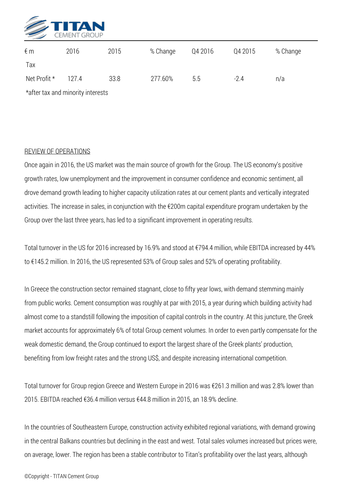

| $\notin$ m                        | 2016  | 2015 | % Change | Q4 2016 | Q4 2015 | % Change |  |  |  |
|-----------------------------------|-------|------|----------|---------|---------|----------|--|--|--|
| Tax                               |       |      |          |         |         |          |  |  |  |
| Net Profit *                      | 127.4 | 33.8 | 277.60%  | 5.5     | $-2.4$  | n/a      |  |  |  |
| *after tax and minority interests |       |      |          |         |         |          |  |  |  |

## *REVIEW OF OPERATIONS*

*Once again in 2016, the US market was the main source of growth for the Group. The US economy's positive growth rates, low unemployment and the improvement in consumer confidence and economic sentiment, all drove demand growth leading to higher capacity utilization rates at our cement plants and vertically integrated activities. The increase in sales, in conjunction with the €200m capital expenditure program undertaken by the Group over the last three years, has led to a significant improvement in operating results.*

*Total turnover in the US for 2016 increased by 16.9% and stood at €794.4 million, while EBITDA increased by 44% to €145.2 million. In 2016, the US represented 53% of Group sales and 52% of operating profitability.*

*In Greece the construction sector remained stagnant, close to fifty year lows, with demand stemming mainly from public works. Cement consumption was roughly at par with 2015, a year during which building activity had almost come to a standstill following the imposition of capital controls in the country. At this juncture, the Greek market accounts for approximately 6% of total Group cement volumes. In order to even partly compensate for the weak domestic demand, the Group continued to export the largest share of the Greek plants' production, benefiting from low freight rates and the strong US\$, and despite increasing international competition.*

*Total turnover for Group region Greece and Western Europe in 2016 was €261.3 million and was 2.8% lower than 2015. EBITDA reached €36.4 million versus €44.8 million in 2015, an 18.9% decline.*

*In the countries of Southeastern Europe, construction activity exhibited regional variations, with demand growing in the central Balkans countries but declining in the east and west. Total sales volumes increased but prices were, on average, lower. The region has been a stable contributor to Titan's profitability over the last years, although*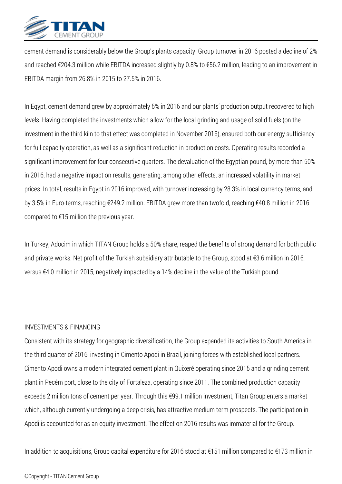

*cement demand is considerably below the Group's plants capacity. Group turnover in 2016 posted a decline of 2% and reached €204.3 million while EBITDA increased slightly by 0.8% to €56.2 million, leading to an improvement in EBITDA margin from 26.8% in 2015 to 27.5% in 2016.*

*In Egypt, cement demand grew by approximately 5% in 2016 and our plants' production output recovered to high levels. Having completed the investments which allow for the local grinding and usage of solid fuels (on the investment in the third kiln to that effect was completed in November 2016), ensured both our energy sufficiency for full capacity operation, as well as a significant reduction in production costs. Operating results recorded a significant improvement for four consecutive quarters. The devaluation of the Egyptian pound, by more than 50% in 2016, had a negative impact on results, generating, among other effects, an increased volatility in market prices. In total, results in Egypt in 2016 improved, with turnover increasing by 28.3% in local currency terms, and by 3.5% in Euro-terms, reaching €249.2 million. EBITDA grew more than twofold, reaching €40.8 million in 2016 compared to €15 million the previous year.*

*In Turkey, Adocim in which TITAN Group holds a 50% share, reaped the benefits of strong demand for both public and private works. Net profit of the Turkish subsidiary attributable to the Group, stood at €3.6 million in 2016, versus €4.0 million in 2015, negatively impacted by a 14% decline in the value of the Turkish pound.*

#### *INVESTMENTS & FINANCING*

*Consistent with its strategy for geographic diversification, the Group expanded its activities to South America in the third quarter of 2016, investing in Cimento Apodi in Brazil, joining forces with established local partners. Cimento Apodi owns a modern integrated cement plant in Quixeré operating since 2015 and a grinding cement plant in Pecém port, close to the city of Fortaleza, operating since 2011. The combined production capacity exceeds 2 million tons of cement per year. Through this €99.1 million investment, Titan Group enters a market which, although currently undergoing a deep crisis, has attractive medium term prospects. The participation in Apodi is accounted for as an equity investment. The effect on 2016 results was immaterial for the Group.*

*In addition to acquisitions, Group capital expenditure for 2016 stood at €151 million compared to €173 million in*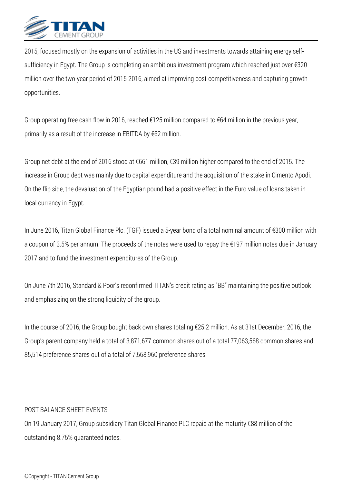

*2015, focused mostly on the expansion of activities in the US and investments towards attaining energy selfsufficiency in Egypt. The Group is completing an ambitious investment program which reached just over €320 million over the two-year period of 2015-2016, aimed at improving cost-competitiveness and capturing growth opportunities.*

*Group operating free cash flow in 2016, reached €125 million compared to €64 million in the previous year, primarily as a result of the increase in EBITDA by €62 million.*

*Group net debt at the end of 2016 stood at €661 million, €39 million higher compared to the end of 2015. The increase in Group debt was mainly due to capital expenditure and the acquisition of the stake in Cimento Apodi. On the flip side, the devaluation of the Egyptian pound had a positive effect in the Euro value of loans taken in local currency in Egypt.*

*In June 2016, Titan Global Finance Plc. (TGF) issued a 5-year bond of a total nominal amount of €300 million with a coupon of 3.5% per annum. The proceeds of the notes were used to repay the €197 million notes due in January 2017 and to fund the investment expenditures of the Group.*

*On June 7th 2016, Standard & Poor's reconfirmed TITAN's credit rating as "BB" maintaining the positive outlook and emphasizing on the strong liquidity of the group.*

*In the course of 2016, the Group bought back own shares totaling €25.2 million. As at 31st December, 2016, the Group's parent company held a total of 3,871,677 common shares out of a total 77,063,568 common shares and 85,514 preference shares out of a total of 7,568,960 preference shares.*

#### *POST BALANCE SHEET EVENTS*

*On 19 January 2017, Group subsidiary Titan Global Finance PLC repaid at the maturity €88 million of the outstanding 8.75% guaranteed notes.*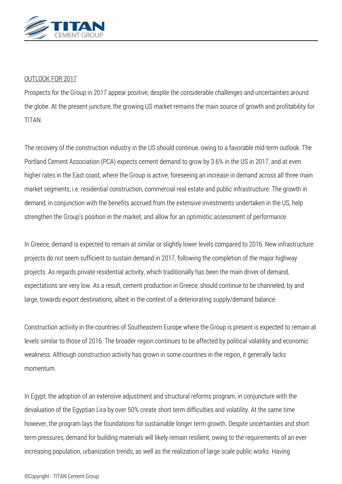

## *OUTLOOK FOR 2017*

*Prospects for the Group in 2017 appear positive, despite the considerable challenges and uncertainties around the globe. At the present juncture, the growing US market remains the main source of growth and profitability for TITAN.*

*The recovery of the construction industry in the US should continue, owing to a favorable mid-term outlook. The Portland Cement Association (PCA) expects cement demand to grow by 3.6% in the US in 2017, and at even higher rates in the East coast, where the Group is active, foreseeing an increase in demand across all three main market segments, i.e. residential construction, commercial real estate and public infrastructure. The growth in demand, in conjunction with the benefits accrued from the extensive investments undertaken in the US, help strengthen the Group's position in the market, and allow for an optimistic assessment of performance.*

*In Greece, demand is expected to remain at similar or slightly lower levels compared to 2016. New infrastructure projects do not seem sufficient to sustain demand in 2017, following the completion of the major highway projects. As regards private residential activity, which traditionally has been the main driver of demand, expectations are very low. As a result, cement production in Greece, should continue to be channeled, by and large, towards export destinations, albeit in the context of a deteriorating supply/demand balance.*

*Construction activity in the countries of Southeastern Europe where the Group is present is expected to remain at levels similar to those of 2016. The broader region continues to be affected by political volatility and economic weakness. Although construction activity has grown in some countries in the region, it generally lacks momentum.*

*In Egypt, the adoption of an extensive adjustment and structural reforms program, in conjuncture with the devaluation of the Egyptian Lira by over 50% create short term difficulties and volatility. At the same time however, the program lays the foundations for sustainable longer term growth. Despite uncertainties and short term pressures, demand for building materials will likely remain resilient, owing to the requirements of an ever increasing population, urbanization trends, as well as the realization of large scale public works. Having*